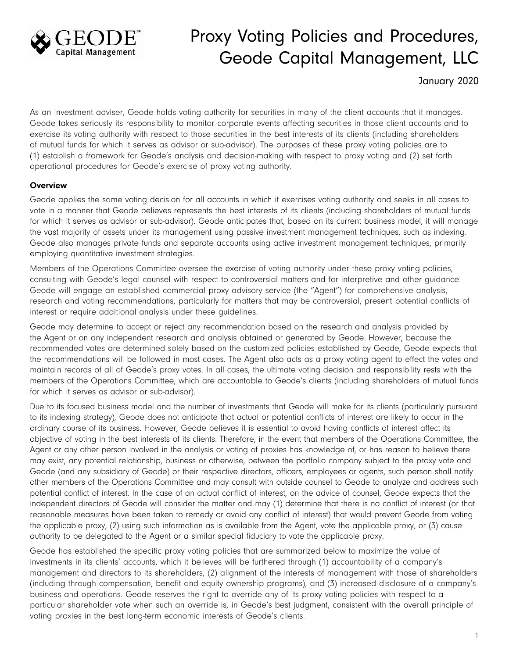

# Proxy Voting Policies and Procedures, Geode Capital Management, LLC

January 2020

As an investment adviser, Geode holds voting authority for securities in many of the client accounts that it manages. Geode takes seriously its responsibility to monitor corporate events affecting securities in those client accounts and to exercise its voting authority with respect to those securities in the best interests of its clients (including shareholders of mutual funds for which it serves as advisor or sub-advisor). The purposes of these proxy voting policies are to (1) establish a framework for Geode's analysis and decision-making with respect to proxy voting and (2) set forth operational procedures for Geode's exercise of proxy voting authority.

# **Overview**

Geode applies the same voting decision for all accounts in which it exercises voting authority and seeks in all cases to vote in a manner that Geode believes represents the best interests of its clients (including shareholders of mutual funds for which it serves as advisor or sub-advisor). Geode anticipates that, based on its current business model, it will manage the vast majority of assets under its management using passive investment management techniques, such as indexing. Geode also manages private funds and separate accounts using active investment management techniques, primarily employing quantitative investment strategies.

Members of the Operations Committee oversee the exercise of voting authority under these proxy voting policies, consulting with Geode's legal counsel with respect to controversial matters and for interpretive and other guidance. Geode will engage an established commercial proxy advisory service (the "Agent") for comprehensive analysis, research and voting recommendations, particularly for matters that may be controversial, present potential conflicts of interest or require additional analysis under these guidelines.

Geode may determine to accept or reject any recommendation based on the research and analysis provided by the Agent or on any independent research and analysis obtained or generated by Geode. However, because the recommended votes are determined solely based on the customized policies established by Geode, Geode expects that the recommendations will be followed in most cases. The Agent also acts as a proxy voting agent to effect the votes and maintain records of all of Geode's proxy votes. In all cases, the ultimate voting decision and responsibility rests with the members of the Operations Committee, which are accountable to Geode's clients (including shareholders of mutual funds for which it serves as advisor or sub-advisor).

Due to its focused business model and the number of investments that Geode will make for its clients (particularly pursuant to its indexing strategy), Geode does not anticipate that actual or potential conflicts of interest are likely to occur in the ordinary course of its business. However, Geode believes it is essential to avoid having conflicts of interest affect its objective of voting in the best interests of its clients. Therefore, in the event that members of the Operations Committee, the Agent or any other person involved in the analysis or voting of proxies has knowledge of, or has reason to believe there may exist, any potential relationship, business or otherwise, between the portfolio company subject to the proxy vote and Geode (and any subsidiary of Geode) or their respective directors, officers, employees or agents, such person shall notify other members of the Operations Committee and may consult with outside counsel to Geode to analyze and address such potential conflict of interest. In the case of an actual conflict of interest, on the advice of counsel, Geode expects that the independent directors of Geode will consider the matter and may (1) determine that there is no conflict of interest (or that reasonable measures have been taken to remedy or avoid any conflict of interest) that would prevent Geode from voting the applicable proxy, (2) using such information as is available from the Agent, vote the applicable proxy, or (3) cause authority to be delegated to the Agent or a similar special fiduciary to vote the applicable proxy.

Geode has established the specific proxy voting policies that are summarized below to maximize the value of investments in its clients' accounts, which it believes will be furthered through (1) accountability of a company's management and directors to its shareholders, (2) alignment of the interests of management with those of shareholders (including through compensation, benefit and equity ownership programs), and (3) increased disclosure of a company's business and operations. Geode reserves the right to override any of its proxy voting policies with respect to a particular shareholder vote when such an override is, in Geode's best judgment, consistent with the overall principle of voting proxies in the best long-term economic interests of Geode's clients.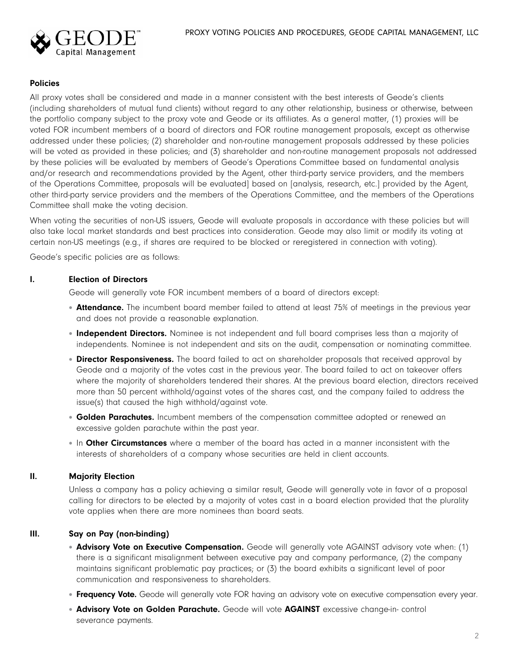

## Policies

All proxy votes shall be considered and made in a manner consistent with the best interests of Geode's clients (including shareholders of mutual fund clients) without regard to any other relationship, business or otherwise, between the portfolio company subject to the proxy vote and Geode or its affiliates. As a general matter, (1) proxies will be voted FOR incumbent members of a board of directors and FOR routine management proposals, except as otherwise addressed under these policies; (2) shareholder and non-routine management proposals addressed by these policies will be voted as provided in these policies; and (3) shareholder and non-routine management proposals not addressed by these policies will be evaluated by members of Geode's Operations Committee based on fundamental analysis and/or research and recommendations provided by the Agent, other third-party service providers, and the members of the Operations Committee, proposals will be evaluated] based on [analysis, research, etc.] provided by the Agent, other third-party service providers and the members of the Operations Committee, and the members of the Operations Committee shall make the voting decision.

When voting the securities of non-US issuers, Geode will evaluate proposals in accordance with these policies but will also take local market standards and best practices into consideration. Geode may also limit or modify its voting at certain non-US meetings (e.g., if shares are required to be blocked or reregistered in connection with voting).

Geode's specific policies are as follows:

#### I. Election of Directors

Geode will generally vote FOR incumbent members of a board of directors except:

- **Attendance.** The incumbent board member failed to attend at least 75% of meetings in the previous year and does not provide a reasonable explanation.
- **Independent Directors.** Nominee is not independent and full board comprises less than a majority of independents. Nominee is not independent and sits on the audit, compensation or nominating committee.
- Director Responsiveness. The board failed to act on shareholder proposals that received approval by Geode and a majority of the votes cast in the previous year. The board failed to act on takeover offers where the majority of shareholders tendered their shares. At the previous board election, directors received more than 50 percent withhold/against votes of the shares cast, and the company failed to address the issue(s) that caused the high withhold/against vote.
- Golden Parachutes. Incumbent members of the compensation committee adopted or renewed an excessive golden parachute within the past year.
- In Other Circumstances where a member of the board has acted in a manner inconsistent with the interests of shareholders of a company whose securities are held in client accounts.

#### II. Majority Election

Unless a company has a policy achieving a similar result, Geode will generally vote in favor of a proposal calling for directors to be elected by a majority of votes cast in a board election provided that the plurality vote applies when there are more nominees than board seats.

# III. Say on Pay (non-binding)

- **Advisory Vote on Executive Compensation.** Geode will generally vote AGAINST advisory vote when: (1) there is a significant misalignment between executive pay and company performance, (2) the company maintains significant problematic pay practices; or (3) the board exhibits a significant level of poor communication and responsiveness to shareholders.
- Frequency Vote. Geode will generally vote FOR having an advisory vote on executive compensation every year.
- **Advisory Vote on Golden Parachute.** Geode will vote AGAINST excessive change-in- control severance payments.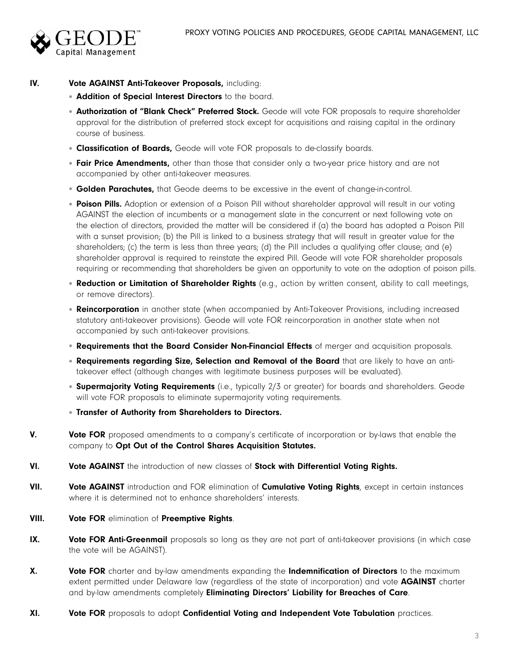

# IV. Vote AGAINST Anti-Takeover Proposals, including:

- **Addition of Special Interest Directors** to the board.
- Authorization of "Blank Check" Preferred Stock. Geode will vote FOR proposals to require shareholder approval for the distribution of preferred stock except for acquisitions and raising capital in the ordinary course of business.
- **Classification of Boards,** Geode will vote FOR proposals to de-classify boards.
- Fair Price Amendments, other than those that consider only a two-year price history and are not accompanied by other anti-takeover measures.
- **Golden Parachutes,** that Geode deems to be excessive in the event of change-in-control.
- Poison Pills. Adoption or extension of a Poison Pill without shareholder approval will result in our voting AGAINST the election of incumbents or a management slate in the concurrent or next following vote on the election of directors, provided the matter will be considered if (a) the board has adopted a Poison Pill with a sunset provision; (b) the Pill is linked to a business strategy that will result in greater value for the shareholders; (c) the term is less than three years; (d) the Pill includes a qualifying offer clause; and (e) shareholder approval is required to reinstate the expired Pill. Geode will vote FOR shareholder proposals requiring or recommending that shareholders be given an opportunity to vote on the adoption of poison pills.
- Reduction or Limitation of Shareholder Rights (e.g., action by written consent, ability to call meetings, or remove directors).
- **Reincorporation** in another state (when accompanied by Anti-Takeover Provisions, including increased statutory anti-takeover provisions). Geode will vote FOR reincorporation in another state when not accompanied by such anti-takeover provisions.
- Requirements that the Board Consider Non-Financial Effects of merger and acquisition proposals.
- . Requirements regarding Size, Selection and Removal of the Board that are likely to have an antitakeover effect (although changes with legitimate business purposes will be evaluated).
- Supermajority Voting Requirements (i.e., typically 2/3 or greater) for boards and shareholders. Geode will vote FOR proposals to eliminate supermajority voting requirements.
- Transfer of Authority from Shareholders to Directors.
- **V.** Vote FOR proposed amendments to a company's certificate of incorporation or by-laws that enable the company to Opt Out of the Control Shares Acquisition Statutes.
- VI. Vote AGAINST the introduction of new classes of Stock with Differential Voting Rights.
- VII. Vote AGAINST introduction and FOR elimination of Cumulative Voting Rights, except in certain instances where it is determined not to enhance shareholders' interests.
- VIII. Vote FOR elimination of Preemptive Rights.
- IX. Vote FOR Anti-Greenmail proposals so long as they are not part of anti-takeover provisions (in which case the vote will be AGAINST).
- X. Vote FOR charter and by-law amendments expanding the Indemnification of Directors to the maximum extent permitted under Delaware law (regardless of the state of incorporation) and vote **AGAINST** charter and by-law amendments completely Eliminating Directors' Liability for Breaches of Care.
- XI. Vote FOR proposals to adopt Confidential Voting and Independent Vote Tabulation practices.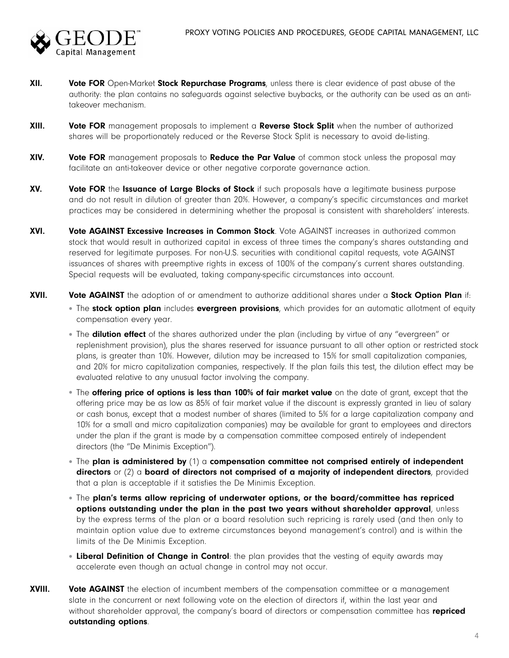

- XII. Vote FOR Open-Market Stock Repurchase Programs, unless there is clear evidence of past abuse of the authority: the plan contains no safeguards against selective buybacks, or the authority can be used as an antitakeover mechanism.
- XIII. Vote FOR management proposals to implement a Reverse Stock Split when the number of authorized shares will be proportionately reduced or the Reverse Stock Split is necessary to avoid de-listing.
- XIV. Vote FOR management proposals to Reduce the Par Value of common stock unless the proposal may facilitate an anti-takeover device or other negative corporate governance action.
- XV. Vote FOR the Issuance of Large Blocks of Stock if such proposals have a legitimate business purpose and do not result in dilution of greater than 20%. However, a company's specific circumstances and market practices may be considered in determining whether the proposal is consistent with shareholders' interests.
- XVI. Vote AGAINST Excessive Increases in Common Stock. Vote AGAINST increases in authorized common stock that would result in authorized capital in excess of three times the company's shares outstanding and reserved for legitimate purposes. For non-U.S. securities with conditional capital requests, vote AGAINST issuances of shares with preemptive rights in excess of 100% of the company's current shares outstanding. Special requests will be evaluated, taking company-specific circumstances into account.
- XVII. Vote AGAINST the adoption of or amendment to authorize additional shares under a Stock Option Plan if:
	- The **stock option plan** includes **evergreen provisions**, which provides for an automatic allotment of equity compensation every year.
	- The **dilution effect** of the shares authorized under the plan (including by virtue of any "evergreen" or replenishment provision), plus the shares reserved for issuance pursuant to all other option or restricted stock plans, is greater than 10%. However, dilution may be increased to 15% for small capitalization companies, and 20% for micro capitalization companies, respectively. If the plan fails this test, the dilution effect may be evaluated relative to any unusual factor involving the company.
	- The offering price of options is less than 100% of fair market value on the date of grant, except that the offering price may be as low as 85% of fair market value if the discount is expressly granted in lieu of salary or cash bonus, except that a modest number of shares (limited to 5% for a large capitalization company and 10% for a small and micro capitalization companies) may be available for grant to employees and directors under the plan if the grant is made by a compensation committee composed entirely of independent directors (the "De Minimis Exception").
	- The plan is administered by  $(1)$  a compensation committee not comprised entirely of independent directors or  $(2)$  a board of directors not comprised of a majority of independent directors, provided that a plan is acceptable if it satisfies the De Minimis Exception.
	- The plan's terms allow repricing of underwater options, or the board/committee has repriced options outstanding under the plan in the past two years without shareholder approval, unless by the express terms of the plan or a board resolution such repricing is rarely used (and then only to maintain option value due to extreme circumstances beyond management's control) and is within the limits of the De Minimis Exception.
	- Liberal Definition of Change in Control: the plan provides that the vesting of equity awards may accelerate even though an actual change in control may not occur.
- XVIII. Vote AGAINST the election of incumbent members of the compensation committee or a management slate in the concurrent or next following vote on the election of directors if, within the last year and without shareholder approval, the company's board of directors or compensation committee has repriced outstanding options.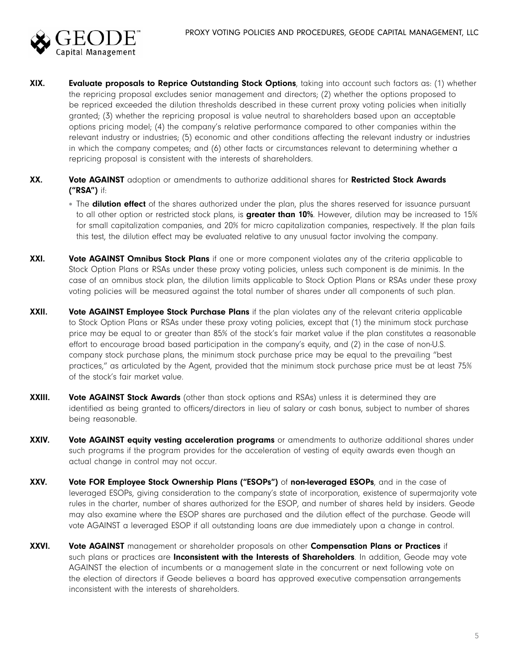

- XIX. Evaluate proposals to Reprice Outstanding Stock Options, taking into account such factors as: (1) whether the repricing proposal excludes senior management and directors; (2) whether the options proposed to be repriced exceeded the dilution thresholds described in these current proxy voting policies when initially granted; (3) whether the repricing proposal is value neutral to shareholders based upon an acceptable options pricing model; (4) the company's relative performance compared to other companies within the relevant industry or industries; (5) economic and other conditions affecting the relevant industry or industries in which the company competes; and (6) other facts or circumstances relevant to determining whether a repricing proposal is consistent with the interests of shareholders.
- XX. Vote AGAINST adoption or amendments to authorize additional shares for Restricted Stock Awards ("RSA") if:
	- The **dilution effect** of the shares authorized under the plan, plus the shares reserved for issuance pursuant to all other option or restricted stock plans, is greater than 10%. However, dilution may be increased to 15% for small capitalization companies, and 20% for micro capitalization companies, respectively. If the plan fails this test, the dilution effect may be evaluated relative to any unusual factor involving the company.
- XXI. Vote AGAINST Omnibus Stock Plans if one or more component violates any of the criteria applicable to Stock Option Plans or RSAs under these proxy voting policies, unless such component is de minimis. In the case of an omnibus stock plan, the dilution limits applicable to Stock Option Plans or RSAs under these proxy voting policies will be measured against the total number of shares under all components of such plan.
- XXII. Vote AGAINST Employee Stock Purchase Plans if the plan violates any of the relevant criteria applicable to Stock Option Plans or RSAs under these proxy voting policies, except that (1) the minimum stock purchase price may be equal to or greater than 85% of the stock's fair market value if the plan constitutes a reasonable effort to encourage broad based participation in the company's equity, and (2) in the case of non-U.S. company stock purchase plans, the minimum stock purchase price may be equal to the prevailing "best practices," as articulated by the Agent, provided that the minimum stock purchase price must be at least 75% of the stock's fair market value.
- XXIII. Vote AGAINST Stock Awards (other than stock options and RSAs) unless it is determined they are identified as being granted to officers/directors in lieu of salary or cash bonus, subject to number of shares being reasonable.
- XXIV. Vote AGAINST equity vesting acceleration programs or amendments to authorize additional shares under such programs if the program provides for the acceleration of vesting of equity awards even though an actual change in control may not occur.
- XXV. Vote FOR Employee Stock Ownership Plans ("ESOPs") of non-leveraged ESOPs, and in the case of leveraged ESOPs, giving consideration to the company's state of incorporation, existence of supermajority vote rules in the charter, number of shares authorized for the ESOP, and number of shares held by insiders. Geode may also examine where the ESOP shares are purchased and the dilution effect of the purchase. Geode will vote AGAINST a leveraged ESOP if all outstanding loans are due immediately upon a change in control.
- XXVI. Vote AGAINST management or shareholder proposals on other Compensation Plans or Practices if such plans or practices are *Inconsistent with the Interests of Shareholders*. In addition, Geode may vote AGAINST the election of incumbents or a management slate in the concurrent or next following vote on the election of directors if Geode believes a board has approved executive compensation arrangements inconsistent with the interests of shareholders.